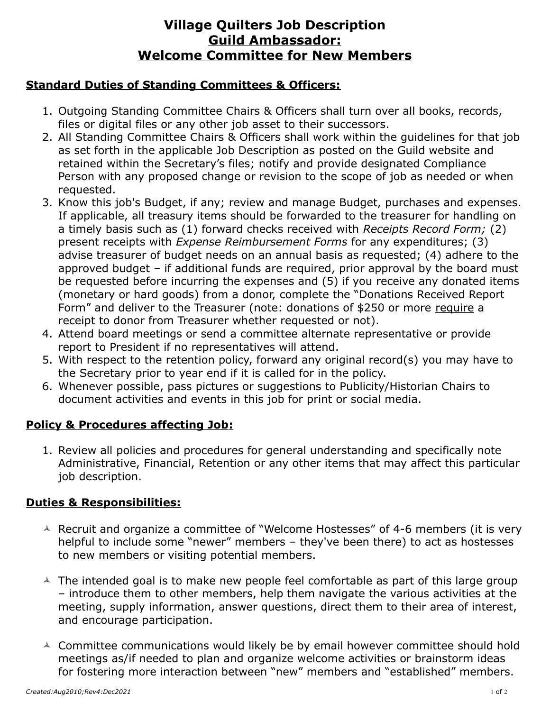# **Village Quilters Job Description Guild Ambassador: Welcome Committee for New Members**

#### **Standard Duties of Standing Committees & Officers:**

- 1. Outgoing Standing Committee Chairs & Officers shall turn over all books, records, files or digital files or any other job asset to their successors.
- 2. All Standing Committee Chairs & Officers shall work within the guidelines for that job as set forth in the applicable Job Description as posted on the Guild website and retained within the Secretary's files; notify and provide designated Compliance Person with any proposed change or revision to the scope of job as needed or when requested.
- 3. Know this job's Budget, if any; review and manage Budget, purchases and expenses. If applicable, all treasury items should be forwarded to the treasurer for handling on a timely basis such as (1) forward checks received with *Receipts Record Form;* (2) present receipts with *Expense Reimbursement Forms* for any expenditures; (3) advise treasurer of budget needs on an annual basis as requested; (4) adhere to the approved budget – if additional funds are required, prior approval by the board must be requested before incurring the expenses and (5) if you receive any donated items (monetary or hard goods) from a donor, complete the "Donations Received Report Form" and deliver to the Treasurer (note: donations of \$250 or more require a receipt to donor from Treasurer whether requested or not).
- 4. Attend board meetings or send a committee alternate representative or provide report to President if no representatives will attend.
- 5. With respect to the retention policy, forward any original record(s) you may have to the Secretary prior to year end if it is called for in the policy.
- 6. Whenever possible, pass pictures or suggestions to Publicity/Historian Chairs to document activities and events in this job for print or social media.

### **Policy & Procedures affecting Job:**

1. Review all policies and procedures for general understanding and specifically note Administrative, Financial, Retention or any other items that may affect this particular job description.

### **Duties & Responsibilities:**

- $\triangle$  Recruit and organize a committee of "Welcome Hostesses" of 4-6 members (it is very helpful to include some "newer" members – they've been there) to act as hostesses to new members or visiting potential members.
- $\triangle$  The intended goal is to make new people feel comfortable as part of this large group – introduce them to other members, help them navigate the various activities at the meeting, supply information, answer questions, direct them to their area of interest, and encourage participation.
- $\triangle$  Committee communications would likely be by email however committee should hold meetings as/if needed to plan and organize welcome activities or brainstorm ideas for fostering more interaction between "new" members and "established" members.